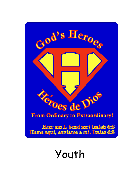

# Youth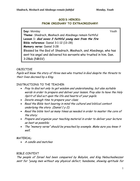## **GOD'S HEROES: FROM ORDINARY TO EXTRAORDINARY!**

**Day:** Monday Youth **Theme:** Shadrach, Meshach and Abednego remain faithful **Lesson 1: God saves 3 faithful young men from the fire Bible reference:** Daniel 3:1-12 (13-28) **Memory verse:** Daniel 3:28 Blessed be the God of Shadrach, Meshach, and Abednego, who has sent his angel and delivered his servants who trusted in him. Dan. 3:28ab (NRSV)

## OBJECTIVE

Pupils will know the story of three men who trusted in God despite the threats to their lives decreed by a King.

## INSTRUCTIONS TO THE TEACHER:

- Pray to God not only to get wisdom and understanding, but also suitable words in order to prepare and deliver your lesson. Pray also to have the Holy Spirit of God act upon the life and hearts of your pupils.
- Devote enough time to prepare your class;
- Read the Bible text bearing in mind the cultural and biblical context underlying the story (Daniel  $1 y 2$ );
- Read the bible text as many times as needed in order to master the core of the story;
- Prepare and organize your teaching material in order to deliver your lecture as best as possible;
- The "memory verse" should be preached by example. Make sure you know it well.

## MATERIAL:

• A candle and matches

## BIBLE CONTEXT

The people of Israel had been conquered by Babylon, and King Nebuchadnezzar sent for "young men without any physical defect, handsome, showing aptitude for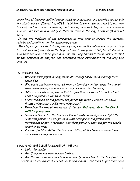every kind of learning, well informed, quick to understand, and qualified to serve in the king's palace" (Daniel 1:4, NIV); "children in whom was no blemish, but well favored, and skilful in all wisdom, and cunning in knowledge, and understanding science, and such as had ability in them to stand in the king's palace" (Daniel 1:4  $KJV$ ).

It was the tradition of the conquerors at that time to impose the customs, religion and traditions on the conquered people.

 The king's objective for bringing these young men to the palace was to make them faithful servants, not only to the king, but also to the gods of Babylon. It should be said that because of their good behavior, the king had made them administrators of the provinces of Babylon, and therefore their commitment to the king was greater.

## INTRODUCTION

- Welcome your pupils, helping them into feeling happy about learning more about God.
- Give pupils their name tags, ask them to introduce and say something about themselves (name, age and where they are from, for instance);
- Call for a volunteer to pray to God to open their minds and to understand what God prepared for them today.
- Share the name of the general subject of the week HEROES OF GOD: i FROM ORDINARY TO EXTRAORDINARY !
- Introduce the title of the lesson of the day: **God saves from the fire 3 faithful young men**
- Prepare a Puzzle for the "Memory Verse." Make several puzzles. Split the class into groups of 3 people each. Give each group the puzzle with instructions to put it together. Let them play until they can put the puzzle together on time.
- A word of advice: After the Puzzle activity, put the "Memory Verse" in a place where everyone can see it.

## STUDYING THE BIBLE PASSAGE OF THE DAY

- Light the candle.
- Ask if anyone has been burned before.

• Ask the youth to very carefully and orderly come close to the fire (keep the candle in a place where it will not cause an accident). Ask them to get their hand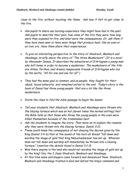close to the fire, without touching the flame. Ask how it felt to get close to the fire.

- Ask pupils to share any burning experience they might have had in the past. Ask pupils to describe their pain, how close of the fire they were, how long were they exposed to fire, and what were the consequences. Or, ask them if they have been near or have seen things that produce heat, like an oven or an iron, etc. Have them share their experiences.
- To give an interesting perspective to the story of Shadrach, Meshach and Abednego, briefly share the story of "The three Musketeers". (It is a novel by Alexander Dumas. It describes the adventures of D'Artagnan a young man who left home in order to become a musketeer. The musketeers of the title are Athos, Porthos, and Aramis inseparable friends of D'Artagnan who live by the motto, "All for one and one for all" )
- They had the same goal in common, and as people, they fought for their ideals, faced adversity and remained united to the end. Today's story in the book of Daniel has three young people that are a lot like the three musketeers.
- Invite the class to find the bible passage to begin the lesson
- Tell your students that Shadrach, Meshach and Abednego were thrown into the blazing furnace which was so hot (seven times the normal setting) that the Bible tells us that those who threw the young people in the oven were killed themselves because of the tremendous heat.
- Ask the students to imagine the story. Then move on to explain the reasons why they were thrown into the blazing furnace. Daniel 3:21.
- These youth knew the consequence of not obeying the decree given by the King (Daniel 3:4-6) that at the sound of the horn all should "fall down and worship the image of gold that King Nebuchadnezzar has set up. Whoever does not fall down and worship will immediately be thrown into a blazing furnace." (mention the details found in Daniel 3:1-2)
- Was there anyone in the land who would not worship the image of gold set up by the king? Yes, the 3 Jews Shadrach, Meshach and Abednego.
- At this time some astrologers came forward and denounced them. Shadrach, Meshach and Abednego trusted in God and defied the king's command and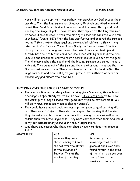were willing to give up their lives rather than worship any God except their own God. Then the king summoned Shadrach, Meshach and Abednego and asked them "is it true Shadrach, Meshach and Abednego that, you do not worship the image of gold I have set up? They replied to the king "the God we serve is able to save us from the blazing furnace and will rescue us from your hand." (Daniel 3:17) Then the king was furious and ordered the furnace heated 7 times hotter than usual and commanded soldiers to throw them into the blazing furnace. These 3 men firmly tied, were thrown into the blazing furnace. The king was amazed because 3 men were tied up and thrown into the fire but he could now see 4 men walking around in the fire unbound and unharmed, and the fourth person looked like a son of the gods. The king approached the opening of the blazing furnace and called them to walk out. They came out of the fire and the crowd around them saw that the fire had not harmed them. These men trusted in their God and defied the kings command and were willing to give up their lives rather than serve or worship any god except their own God

## THINKING OVER THE BIBLE PASSAGE OF TODAY.

- There was a time in the story when the king gives Shadrach, Meshach and Abednego an opportunity to live for he says "If you are ready to fall down and worship the image I made, very good. But if you do not worship it, you will be thrown immediately into a blazing furnace".
- They could have stepped back and worship the image of gold but they did not. They were faithful to their God and replied to the king that the God they served was able to save them from the blazing furnace as well as to rescue them from the king's hand. They were convinced that their God would carry-out extraordinary signs upon them if appropriate.
- Was there any reason why these men should have worshiped the image of Gold ?

| GRATITUDE | <b>YES</b>               | <b>NO</b>                  |
|-----------|--------------------------|----------------------------|
|           | Because they were        | Because of their           |
|           | chosen amongst slaves    | knowledge that by the      |
|           | and set over the affairs | grace of their God they    |
|           | of the province of       | found favour in the eyes   |
|           | Babylon. This at the     | of the king to be set over |
|           | service of the King.     | the affaire of the         |
|           |                          | province of Babylon.       |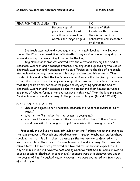| FEAR FOR THEIR LIVES   YES |                           | NO                       |
|----------------------------|---------------------------|--------------------------|
|                            | Because capital           | Because of their         |
|                            | punishment was placed     | knowledge that the God   |
|                            | upon those who would not  | they served was their    |
|                            | worship the image of gold | benefactor and protector |
|                            |                           | at all times.            |

Shadrach, Meshach and Abednego chose to remain loyal to their God even though the King threatened them with death if they wouldn't serve the god of the king and worship the image of gold set up by the king.

King Nebuchadnezzar was amazed with the extraordinary sign the God of Shadrach, Meshach and Abednego offered. The king ended up praising the God of Shadrach, Meshach and Abednego for he said "Praise be to the God of Shadrach, Meshach and Abednego, who has sent his angel and rescued his servants! They trusted in him and defied the king's command and were willing to give up their lives rather than serve or worship any God except their own God. Therefore I decree that the people of any nation or language who say anything against the God of Shadrach, Meshach and Abednego be cut into pieces and their houses be turned into piles of rubble, for no other god can save in this way." Then the king promoted Shadrach, Meshach and Abednego in the province of Babylon (Daniel 3:28-29).

## PRACTICAL APPLICATION.

- Choose an adjective for Shadrach, Meshach and Abednego (Courage, faith, trust…)
- What is the first adjective that comes to your mind?
- What would you say the end of the story would had been if these 3 men would have asked the king not to put them inside the blazing furnace?

Frequently in our lives we face difficult situations. Perhaps not as challenging as the test Shadrach, Meshach and Abednego went through. Maybe a situation where speaking the truth is all it takes to overcome the test we are confronted with. We can learn from the story of Shadrach, Meshach and Abednego that those who remain faithful to God are protected and favored by God beyond expectations. Any trial in our life will have the best ending when we trust God to lead our lives as best as possible. Shadrach, Meshach and Abednego were at a disadvantage under the decree of king Nebuchadnezzar, however they were protected and taken care of at all times.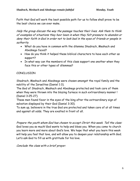Faith that God will work the best possible path for us to follow shall prove to be the best choice we can ever make.

Help the group discuss the way the passage touches their lives. Ask them to think of examples of situations they havr been in when they felt pressure to abandon or deny their faith in God in order not to look bad in the eyes of friends or people in authority.

- What do you have in common with the dilemma Shadrach, Meshach and Abednego faced?
- How do you think it helped these biblical characters to have each other as support?
- In what way can the members of this class support one another when they face this or other types of dilemmas?

## **CONCLUSION**

Shadrach, Meshach and Abednego were chosen amongst the royal family and the nobility of the Israelites (Daniel 1:3).

The God of Shadrach, Meshach and Abednego protected and took care of them when they were thrown into the blazing furnace in such extraordinary manner ! (Daniel 3:25-27).

These men found favor in the eyes of the king after the extraordinary sign of salvation displayed by their God (Daniel 3:30).

To sum up, believers in the true God are protected and taken care of at all times and against all odds. They are exalted in front of all.

Prepare the youth whom God has chosen to accept Christ this week. Tell the class: God loves you so much! God wants to help and bless you. When you come to church you learn more and more about God's love. We hope that what you learn this week will help you feel that love, and will allow you to deepen your relationship with God. Let's ask God to fill us with gratitude for his love.

Conclude the class with a brief prayer.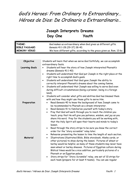# God's Heroes: From Ordinary to Extraordinary… Héroes de Dios: De Ordinario a Extraordinario…

# **Joseph Interprets Dreams Day One Youth**

| THEME:<br><b>BIBLE PASSAGE:</b><br><b>MEMORY VERSE:</b> | God makes us extraordinary when God gives us different gifts.<br>Genesis 41:1-28 (29-37) 38-40.<br>We have different gifts, according to the grace given us. Rom. 12:6a                                                                                                                                                                                                                                                                                                                                                                                                                                                                                                                        |
|---------------------------------------------------------|------------------------------------------------------------------------------------------------------------------------------------------------------------------------------------------------------------------------------------------------------------------------------------------------------------------------------------------------------------------------------------------------------------------------------------------------------------------------------------------------------------------------------------------------------------------------------------------------------------------------------------------------------------------------------------------------|
|                                                         |                                                                                                                                                                                                                                                                                                                                                                                                                                                                                                                                                                                                                                                                                                |
| Objective                                               | Students will learn that when we serve God faithfully, we can accomplish<br>extraordinary feats.                                                                                                                                                                                                                                                                                                                                                                                                                                                                                                                                                                                               |
| <b>Learning Goals</b>                                   | Students will hear the story of how Joseph interpreted Pharaoh's<br>$\bullet$<br>dreams (Genesis 41:1-40)<br>Students will understand that God put Joseph in the right place at the<br>$\bullet$<br>right time to accomplish God's goals.<br>Students will understand that God gave Joseph the ability to<br>$\bullet$<br>correctly interpret Pharaoh's dreams about the coming famine.<br>Students will understand that Joseph was willing to serve God even<br>$\bullet$<br>during difficult circumstances (being a prisoner, being in a foreign<br>land).<br>Students will consider what gifts and abilities God has blessed them<br>٠                                                      |
| Preparation                                             | with and how they might use those gifts to serve Him.<br>Read Genesis 40 to know the background of how Joseph came to<br>٠<br>be recommended to Pharaoh as a dream interpreter.<br>Read Genesis 41 to familiarize yourself with today's story.<br>$\bullet$<br>Pray that God will work through you to reach the children you<br>$\bullet$<br>teach; pray that He will give you patience, wisdom, and joy as you<br>share His word. Pray for the students you will be working with,<br>that the Holy Spirit will open their hearts and minds to today's<br>lesson.<br>Read through the story strips to be sure you know the correct<br>$\bullet$<br>order for the "story scramble" relay later. |
| Material                                                | Rehearse presenting the lesson to time the length of each section.<br>$\bullet$<br>Illustrations (illustrated Bible, Bible storybook, Abeka cards, or<br>$\bullet$<br>other pictures) to show during the lesson. Pictures of wheat or<br>barley would be helpful, as many of these students may never have<br>seen wheat or barley sheaves. Pictures of Egyptian culture during<br>Biblical times would be a nice addition, particularly pictures of a<br>Pharaoh or an Egyptian palace.<br>Story strips for "Story Scramble" relay, one set of 10 strips for<br>٠<br>each team (prepare for at least 4 teams). You can use regular                                                            |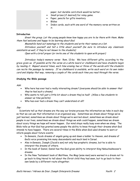paper, but durable card stock would be better. • Small prizes (if desired) for relay game. Paper, pencils for gifts inventory • Bibles • Index cards, each with one word of the memory verse written on it.

#### **Introduction**

Greet the group. Let the young people know how happy you are to be there with them. Make them feel welcome and happy to be learning about God.

Meanwhile hand out nametags to the students and write their names on a list.

Introduce yourself and tell a little about yourself (be sure to introduce any classroom assistants as well, if they're not known to the students)

Open with a brief prayer (or invite one of the students to open with prayer)

Introduce today's memory verse: Rom. 12:6a: We have different gifts, according to the grace given us. If possible write the verse on a white board or chalkboard and have students begin by reading it. Repeat several times, each time erasing two or three of the words until the students can recite the passage by memory. If no chalkboard is available, write each word on its own index card and display that way, removing a couple of the cards each time you read through the verse.

#### **Studying the Bible passage**

Ask:

- Who here has ever had a really interesting dream? (everyone should be able to answer that they've had such a dream).
- Who wants to tell just a little bit about a dream they've had? (Allow a few students to answer as time permits).
- Who has ever had a dream they can't understand at all?

#### Say:

 Scientists tell us that dreams are the way our brains process the information we take in each day so that we can use that information in an organized way. Sometimes we dream about things we've just learned, sometimes we dream about things we're worried about, sometimes we dream about people in our lives, sometimes we dream about things we wish could happen, sometimes we dream about scary things we hope will never happen. Our mind stays really busy even when we sleep. The Bible tells us that God has granted some people the ability to know through their dreams what God intends to have happen. There are several times in the Bible when God used dreams to warn or inform people about future events:

- In Genesis, Jacob dreams of angels going up and down a ladder to Heaven, and dreams of God's voice promising him many descendants and much land in Israel.
- Also in Genesis, Joseph (Jacob's son) not only has prophetic dreams, but he is able to interpret the dreams of others.
- In the book of Daniel, Daniel has the God-given ability to interpret King Nebuchadnezzar's dreams.
- In the New Testament book of Matthew, the Magi (wise men) were warned in a dream not to go back to King Herod to tell about the Christ child they had seen, but to go back to their own lands by a different route altogether.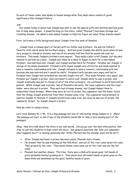In each of these cases, God spoke to human beings while they slept about events of great significance that changed history.

#### Say:

 Our lesson today is about how Joseph was able to use the special gifts and abilities God had given him to help many people. A powerful king (in this story, called "Pharaoh") had some strange and troubling dreams. He asked a man named Joseph to help him figure out what those dreams meant.

First, let's have a little background about Joseph from the book of Genesis:

 Joseph lived in Canaan (part of Israel) with his father and brothers. He was his father's favorite child, which made his brothers angry. God had given Joseph the ability (even when he was very young) to interpret dreams, and one of his dreams told him that he would rule over his brothers. This made Joseph's brothers even angrier. They made a plan to kill Joseph, but decided instead to sell him as a slave. Joseph was taken as a slave to Egypt to work for a man named Potiphar. God watched over Joseph, and Joseph worked hard for Potiphar. Potiphar put Joseph in charge of his whole household. Potiphar's wife found Joseph very attractive and made wanted to have a romantic relationship with him. Joseph refused to have a romantic relationship with her because she was married and it would be sinful. Potiphar's wife became very angry and lied to Potiphar that Joseph had attacked her and she fought him off. This made Potiphar very angry, and Potiphar put Joseph in prison. God continued to watch over Joseph while he was in prison, and Joseph eventually was put in charge of all of the other prisoners. He continued to work hard and be patient. While Joseph was in prison, two of Pharaoh's servants, the royal cupbearer and the royal baker, were also put in prison. They each had strange dreams, and Joseph helped them to understand those dreams. When they were let out of prison, the cupbearer and the baker found that the things Joseph predicted from their dreams came true. The cupbearer had promised to mention Joseph to Pharaoh if Joseph's predictions came true, but once he was out of prison, the cupbearer forgot. So Joseph stayed in prison.

Now we come to today's story:

Let's read Genesis 41: 1-40. It's a long passage but lots of interesting things happen in it. (Read the passage out loud, or ask if any of the students would like to take a turn reading part of the passage).

Okay. Now let's talk about the story in our own words. (As you go over the main story points, feel free to ask the students to help retell the story. Ask general questions like "who can remember what happens next?" or leading questions like "After Pharaoh had his dreams, what did he do?")

- After Joseph had been in prison two more years, Pharaoh had a dream.
- He dreamt that he was standing by the Nile River, and out of the river came seven fat cows. They grazed by the river. Then seven skinny cows came out of the river and ate the fat cows!
- Pharaoh had another dream. This time, there was a stalk with seven good, full heads of grain (probably barley) growing on it. Then seven bad, shriveled heads of grain grew on the same stalk and swallowed up the good, healthy heads of grain.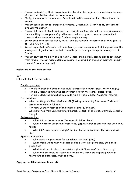- Pharaoh was upset by these dreams and sent for all of his magicians and wise men, but none of them could tell him what the dreams meant.
- Finally, the cupbearer remembered Joseph and told Pharaoh about him. Pharaoh sent for Joseph.
- Pharaoh asked Joseph to interpret his dreams. Joseph said **"I can't do it, but God will give you the answer".**
- Pharaoh told Joseph about his dreams, and Joseph told Pharaoh that the dreams were about the same thing: seven years of good harvests followed by seven years of famine (bad harvests where there isn't enough food and people starve).
- Joseph again gave God the credit, saying "God has revealed to Pharaoh what He is going to do" (Gen. 41:28, 41:32).
- Joseph suggested to Pharaoh that he make a system of saving up part of the grain from the seven years of good harvest so that it could be given to people during the seven years of famine.
- Pharaoh saw that the Spirit of God was in Joseph, and he liked Joseph's plan to save Egypt from famine. Pharaoh made Joseph his second-in-command, in charge of everyone in Egypt (except Pharaoh, of course!)

#### **Reflecting on the Bible passage**

#### Say:

Let's talk about the story a bit:

#### Emotion questions

- How did Pharaoh feel when no one could interpret his dream? (upset, worried, angry)
- How did Joseph feel when the baker forgot him for two years? (disappointed)
- How did Joseph feel when Pharaoh made him his Prime Minister? (excited, relieved)

#### Fact questions

- What two things did Pharaoh dream of? (7 skinny cows eating 7 fat cows. 7 withered ears of corn eating 7 full ones.)
- How many years of feast and famine were coming? (7 of each)
- Who benefited from God's warning? (Pharaoh, Joseph, all of Egypt, eventually Joseph's family.)

#### Review questions

- What did the dreams mean? (famine would follow plenty)
- What did Joseph advise that Pharaoh do? (appoint a man to store up food while they had it)
- Why did Pharaoh appoint Joseph? (he saw that he was wise and that God was with him)

#### Application questions

- Who should we give credit for our talents, abilities? (God)
- What should we do when we recognize God's work in someone else? (help them, praise God)
- What should we do when it seems God's plan isn't working? (be patient, pray)
- When we know times of trouble are coming, how should we prepare?( keep our hearts pure of bitterness, study and pray)

#### **Applying the Bible passage to our life**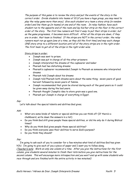The purpose of this game is to review the story and put the events of the story in the correct order. Divide students into teams of 10 (if you have a huge group, you may need to play the relay game more than once). Give each student on a team a story strip (in random order) and line them up (in teams) at one end of the room. In relay fashion, have each student run to the opposite end of the room and lay his/her strip on the floor in the correct order of the story. The first few runners will find it easy to put their strips in order, but as the game progresses, it becomes more difficult. After all the strips are down, if they are in order, that team is finished. If the strips are NOT in the correct order, the relay runners must run up again (one at a time, as they did the first time) and may each change ONE story strip to a different location until all of the story strips are in the right order. The first team to get all of the strips in the right order wins.

#### Story strips in order:

- Joseph was sent to prison.
- Joseph was put in charge of all the other prisoners
- Joseph interpreted the dreams of the cupbearer and baker
- Pharaoh had two disturbing dreams
- Pharaoh's cupbearer recommended Joseph to Pharaoh as someone who interpreted dreams
- Pharaoh told Joseph about his dreams
- Joseph told Pharaoh both dreams were about the same thing: seven years of good harvest followed by seven years of famine.
- Joseph recommended that grain be stored during each of the good years so it could be given away during the bad years.
- Pharaoh thought Joseph's idea to store grain was a good one.
- Pharaoh put Joseph in charge of everything in Egypt.

#### Say:

Let's talk about the special talents and abilities God gives.

#### Ask:

- What are some kinds of talents or special abilities you can think of? (If there's a chalkboard, write down the answers in a list)
- Do you think God still gives people these special abilities, or did He only do it during Biblical times?
- Why do you think God gives people these special abilities?
- Do you think everyone uses their abilities to serve God's purpose?
- Do you think they should?

#### Say:

 I'm going to ask each of you to consider for a few minutes what kind of abilities God has given YOU. I'm going to give each of you a piece of paper and I want you to follow along.

(Teacher's note: Work on only one column at a time. After you give the instructions for the first column, give students several minutes to finish their lists before you give instructions for the second column. This will encourage more introspection and you won't end up with some students who race through and are finished with the entire activity in two minutes!)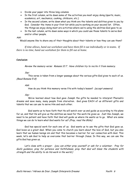- Divide your paper into three long columns.
- In the first column, write down some of the activities you most enjoy doing (sports, music, academics, art, mechanics, cooking, childcare, etc.)
- In the second column, write down what you think are the talents and abilities given to you by God. Consider the items in your first list while you're working on your second list. Often, the things we enjoy doing most are activities where we're using the abilities God gave to us.
- In the last column, write down some ways in which you could use those talents to serve God and/or other people.

#### Ask:

Would anyone like to share any of their thoughts about their talents or how they can use them?

*If time allows, hand out worksheet and have them fill it out individually or in teams. If there is no time, hand out worksheet for them to fill out at home.*

#### **Conclusion**

Review the memory verse: Romans 12:7. Have children try to recite it from memory.

#### Say:

 This verse is taken from a longer passage about the various gifts God gives to each of us. (Read Romans 5-8)

#### Ask:

How do you think this memory verse fits with today's lesson? (accept answers)

#### Say:

 We've learned about how God gave Joseph the gifts he needed to interpret Pharaoh's dreams and save many, many people from starvation. God gives EACH of us different gifts and talents that we can use to serve Him and each other.

 God wants us to have faith that He will watch over us and guide us according to His plans for us, and that He will give us the abilities we need for the work He gives us. Just like Joseph, we need to be patient and have faith that God will guide us where He wants us to go. What are some things we can do to learn what God wants for us? (Pray, read the Bible)

God has special work for each one of us. God wants us to use the gifts that God gave us. God loves us a great deal. When you come to church you learn about the love of God, but you also learn that we human beings sin and that this becomes a barrier for our connection with God. This week, let's ask God to help us overcome that barrier through Jesus. In this way, we can use the gifts God has given us.

Let's close with a prayer: (you can either pray yourself or ask for a volunteer. Pray for God's guidance, pray for patience and faithfulness, pray that God will bless the students with strength and the ability to do His work in the world.)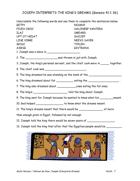## JOSEPH INTERPRETS THE KING'S DREAMS (Genesis 41:1-36)

Unscramble the following words and use them to complete the sentences below. GETPY NISKNY FICEH OKOC SALONERP VANTERS ILAJ SMEARD UPT OT HEDAT SHOJEP LINE VIRRE NEEVS SAYER WOSC TYPLEN ASRSG GIVTRANS 1. Joseph was a slave in \_\_\_\_\_\_\_\_\_\_\_\_\_\_\_\_\_\_\_\_\_. 2. The \_\_\_\_\_\_\_\_\_\_\_\_\_\_\_\_\_\_\_was thrown in jail with Joseph. 3. Joseph, the king's personal servant, and the chief cook were in \_\_\_\_\_ together. 4. The chief cook was \_\_\_\_\_\_\_\_\_\_\_\_\_\_\_\_\_\_\_\_\_\_\_\_. 5. The king dreamed he was standing on the bank of the \_\_\_\_\_\_\_\_\_\_\_\_\_\_\_\_\_\_\_\_\_. 6. The king dreamed about  $fat$  eating the  $\qquad \qquad$ 7. The king also dreamed about \_\_\_\_\_\_\_\_\_\_\_cows eating the fat ones. 8. The king's \_\_\_\_\_\_\_\_\_\_\_\_\_\_\_\_\_\_\_\_ told the king about Joseph. 9. The king sent for Joseph because he wanted to know what his \_\_\_\_\_\_\_\_meant. 10. God helped \_\_\_\_\_\_\_\_\_\_\_\_\_\_\_\_\_\_ to know what the dreams meant. 11. The king's dreams meant that there would be \_\_\_\_\_\_\_\_\_\_\_\_\_\_ of more than enough grain in Egypt, followed by not enough. 12. Joseph told the king there would be seven years of \_\_\_\_\_\_\_\_\_\_\_\_\_\_\_\_\_. 13. Joseph told the king that after that the Egyptian people would be \_\_\_\_\_\_\_\_\_

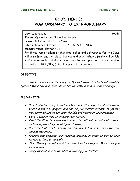# **GOD'S HEROES: FROM ORDINARY TO EXTRAORDINARY!**

**Day:** Wednesday **Youth Theme:** Queen Esther Saves Her People. **Lesson 3:** Esther the Brave Queen. **Bible reference:** Esther 3:12-13, 4:1-17, 5:1-4, 7:1-6, 10 **Memory verse:** Esther 4:14 For if you remain silent at this time, relief and deliverance for the Jews will arise from another place, but you and your father's family will perish. And who knows but that you have come to royal position for such a time as this? Est.4:14 (NIV) (use all or part of the verse).

## OBJECTIVE

 Students will know the story of Queen Esther. Students will identify Queen Esther's wisdom, love and desire for justice on behalf of her people.

## PREPARATION

- Pray to God not only to get wisdom, understanding as well as suitable words in order to prepare and deliver your lecture but also to get the holy spirit of God to act upon the life and hearts of your students.
- Devote enough time to prepare your lecture;
- Read the Bible text bearing in mind the cultural and biblical context underlying the story about Queen Esther;
- Read the bible text as many times as needed in order to master the core of the story;
- Prepare and organize your teaching material in order to deliver your lecture as best as possible;
- The "Memory verse" should be preached by example. Make sure you know it well.
- Carry your Bible with you when delivering your lecture.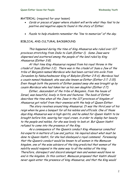#### MATERIAL: (required for your lesson)

- Cards or pieces of paper where student will write what they feel to be positive and negative aspects found in the story of Esther.
- Puzzle to help students remember the "line to memorize" of the day.

#### BIBLICAL AND CULTURAL BACKGROUND

This happened during the time of King Ahasuerus who ruled over 127 provinces stretching from India to Cush (Esther 1). Some Jews were dispersed and scattered among the people of the land ruled by King Ahasuerus (Esther 3:8).

 At that time King Ahasuerus reigned from his royal throne in the citadel of Susa (Esther 1:2). There was in the citadel of Susa a Jew of the tribe of Benjamin named Mordecai who had been carried into exile from Jerusalem by Nebuchadnezzar King of Babylon (Esther 2:5-6). Mordecai had a cousin named Hadassah, who was also known as Esther (Esther 2:7; 2:15). Even though both the parents of Esther passed away she was brought up by cousin Mordecai who had taken her as his own daughter (Esther 2:7).

Esther, descendant of the tribe of Benjamin, from the house of Israel, was beautiful, lovely in form and features. The book of Esther describes the time when all the Jews in the 127 provinces of kingdom of Ahasuerus got relief from their enemies with the help of Queen Esther.

The story revolves around king Ahasuerus. It was the third year of his reign when he gave a banquet for all his nobles and officials. One of those days King Ahasuerus was in high spirits, and he asked for Queen Vashti to be brought before him, wearing her royal crown, in order to display her beauty to the people and nobles, for she was lovely to look at. But Queen Vashti refused to come into the presence of the King.

As a consequence of the Queen's conduct King Ahasuerus consulted his experts in matters of Law and justice. He inquired about what must be done to Queen Vashti, for she had disobeyed a royal commend. Foreseeing that the Queen's conduct would be known to all women in the Memucan kingdom, one of the wise advisors of the king predicted that women of the nobility would respond in the same way to all the nobles of the king. Therefore, disrespect and discord amongst men and women would have no end in the kingdom. In this context, Memucan proposed that Vashti should never again enter the presence of king Ahasuerus, and that the King would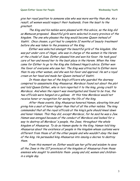give her royal position to someone else who was more worthy than she. As a result, all women would respect their husbands, from the least to the greatest.

The King and his nobles were pleased with this advice, so the king did as Memucan proposed. Beautiful girls were selected in every province of the kingdom. The one who pleases the king would become Queen instead of Vashti. Once chosen, a girl had to complete 12 months of beauty treatment before she was taken to the presence of the King.

Esther was selected amongst the beautiful girls of the kingdom. She was put under care of Hegai, who was in charge of the women in the Harem at the citadel of Susa. Esther pleased him and won his favor. He took good care of her and moved her to the best place in the Harem. When the time came for Esther to go to the King she followed Hegai's advice. Esther won the favor of everyone who saw her. The King was attracted to Esther more than to any other woman, and she won his favor and approval. He set a royal crown on her head and made her Queen instead of Vashti.

In those days two of the king's officers who guarded the doorway conspired to assassinate King Ahasuerus. Mordecai found out about the plot and told Queen Esther, who in turn reported it to the king, giving credit to Mordecai. And when the report was investigated and found to be true, the two officials were hanged on a gallows. At this time Mordecai would not receive honor or recognition for saving the life of the king.

After these events, King Ahasuerus honored Haman, elevating him and giving him a seat of honor higher than that of all the other nobles. The king commanded that all the royal officials at the king's gate should kneel down and honor Haman. This they did, except Mordecai, for he said he was a Jew. Haman was enraged because of the conduct of Mordecai and looked for a way to destroy all Mordecai's people, the Jews, throughout the whole kingdom of Ahasuerus. To do so Haman spoke to the King. Haman told king Ahasuerus about the existence of people in the kingdom whose customs were different from those of all the other people and who wouldn't obey the laws of the king. He persuaded king Ahasuerus into issuing a decree to destroy them.

From this moment on, Esther would use her gifts and wisdom to save all the Jews in the 127 provinces of the kingdom of Ahasuerus from those enemies who sought to annihilate them- young and old, women and childrenin a single day.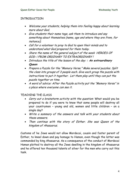## INTRODUCTION

- Welcome your students, helping them into feeling happy about learning more about God.
- Give students their name tags, ask them to introduce and say something about themselves (name, age and where they are from, for instance);
- Call for a volunteer to pray to God to open their minds and to understand what God prepared for them today.
- Share the name of the general subject of the week HEROES OF GOD: ¡ FROM ORDINARY TO EXTRAORDINARY !
- Introduce the title of the lesson of the day: **: An extraordinary Queen**
- Prepare a Puzzle for the "Memory Verse." Make several puzzles. Split the class into groups of 3 people each. Give each group the puzzle with instructions to put it together. Let them play until they can put the puzzle together on time.
- A word of advice: After the Puzzle activity put the "Memory Verse" in a place where everyone can see it.

## TEACHING THE CLASS

- Carry out a brainstorm activity with the question: What would you be prepared to do if you were to know that some people will destroy all your countrymen – young and old, women and little children – on a single day?
- Write a summary of the answers and talk with your students about these answers.
- Then continue with the story of Esther. She was Queen of the kingdom of Ahasuerus.

Customs of he Jews would not allow Mordecai, cousin and foster parent of Esther, to kneel down and pay homage to Haman, even though the latter was commanded by king Ahasuerus. As a consequence of the conduct of Mordecai Haman plotted to destroy all the Jews dwelling in the kingdom of Ahasuerus and he offered ten thousand talents of silver for the men who carry out this task.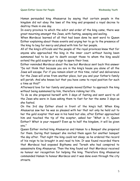Haman persuaded king Ahasuerus by saying that certain people in the kingdom did not obey the laws of the king and proposed a royal decree to destroy them in one day.

In every province to which the edict and order of the king came, there was great mourning amongst the Jews, with fasting, weeping and wailing.

When Mordecai learned of all that had been done he sent word to Queen Esther explaining about these events and urging her to go to the presence of the king to beg for mercy and plead with him for her people.

All of the king's officials and the people of the royal provinces knew that for anyone who approached the king in the inner court without having been summoned had to be put to death except those to whom the king would extend the gold scepter as a sign to spare their lives.

Esther reminded Mordecai about the law but Mordecai sent back this answer "Do not think that because you are in the king's house you alone of all the Jews will escape. For if you remain silent at this time, relief and deliverance for the Jews will arise from another place, but you and your father's family will perish. And who knows but that you have come to royal position for such a time as this?"

Afterward love for her family and people moved Esther to approach the king without being summoned by him, therefore risking her life.

To do so she prepared herself with 3 days of fasting and sent word to all the Jews who were in Susa asking them to fast for her the same 3 days as she fasted.

On the 3rd day Esther stood in front of the king's hall. When King Ahasuerus saw her he was so pleased with her that not only he held out to her the gold scepter that was in his hand but also, after Esther approached him and touched the tip of the scepter, asked her "What is it, Queen Esther? What is your request? Even up to half the kingdom, it will be given you."

Queen Esther invited king Ahasuerus and Haman to a Banquet she prepared for them. During that banquet she invited them again for another banquet the day after. That night the king could not sleep; so he ordered the record of his reign to be brought in and read to him. It was found recorded there that Mordecai had exposed Bigthama and Teresh who had conspired to assassinate King Ahasuerus. Then the king found out that Mordecai received no honour nor recognition for helping the king. Therefore King Ahasuerus commanded Haman to honour Mordecai and it was done even through the city streets.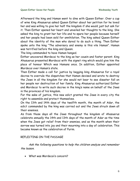Afterward the king and Haman went to dine with Queen Esther. Over a cup of wine King Ahasuerus asked Queen Esther about her petition for he loved her and was willing to give her half the kingdom if she would just but ask for it. Then Esther opened her heart and unveiled her thoughts to the king. She asked the king to grant her her life and to spare her people because herself and her people had been sold for annihilation. The king asked Queen Esther about the identity of the man who dared to do such a thing. Then Esther spoke unto the king "The adversary and enemy is this vile Haman". Haman was terrified before the king and Queen.

The king commanded to have Haman hanged.

Esther uncovered Mordecai to the king as her cousin and foster parent. King Ahasuerus presented Mordecai with the signet ring which would give him the place of honour Which was Hamans once. In addition, Esther appointed Mordecai over Haman's state.

Then Esther made a call for justice by begging king Ahasuerus for a royal decree to overrule the dispatches that Haman devised and wrote to destroy the Jews in all the kingdom for she would not bear to see disaster fall on her people nor destruction of her family. King Ahasuerus authorized Esther and Mordecai to write such decree in the king's name on behalf of the Jews in the provinces of his kingdom.

For the sake of justice, this new edict granted the Jews in every city the right to assemble and protect themselves.

On the 13th and 14th days of the twelfth month, the month of Adar, the edict commanded by the king was carried out and the Jews struck down all their enemies.

As from those days all the Jews throughout the kingdom of Ahasuerus celebrate annually the 14th and 13th days of the month of Adar as the time when the Jews got relief from their enemies, and as the month when their sorrow was turned into joy and their mourning into a day of celebration. This became known as the celebration of Purim.

## REFLECTING ON THE PASSAGE

 Ask the following questions to help the children analyze and remember the lesson.

• What was Mordecai's concern?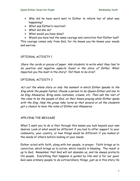- Why did he have word sent to Esther to inform her of what was happening?
- What was Esther's reaction?
- What did she do?
- What would you have done?

• Would you have had the same courage and conviction that Esther had? This courage comes only from God, for He knows you-He knows your needs and worries.

#### OPTIONAL ACTIVITY 1

Share the cards or pieces of paper. Ask students to write what they feel to be positive and negative aspects found in the story of Esther. What impacted you the most in the story? Tell them to be brief.

#### OPTIONAL ACTIVITY 2

Act out the whole story or only the moment in which Esther speaks to the King while the people fasted. Choose a person to be Queen Esther and one to be King Ahasuerus. Bring some costumes, crowns, etc. Then ask the rest of the class to be the people of God, on their knees praying while Esther spoke with the King. Help the group take turns so that several or all the students get a chance to have the roles of Esther and Ahasuerus

## APPLYING THE MESSAGE

What I want you to do is that through this lesson you look beyond your own desires. Look at what would be different if you had to offer support to your community, your country, or how things would be different if you looked at the needs of others before looking at your needs.

Esther acted with faith, along with her people, in prayer. Faith brings us to conviction, which brings us to action, which results in blessing. The result is up to God. Remember that God will not abandon us, and He always protects His people. Everything that happens is guided by Him and is for our good. God uses ordinary people to do extraordinary things, just as in this story He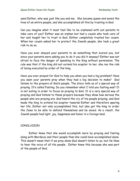used Esther, who was just like you and me. She became queen and saved the lives of an entire people, and she accomplished all this by trusting in God.

Can you imagine what it must feel like to be orphaned with out parents to take care of you? Esther was an orphan but had a cousin who took care of her and taught her to trust in God. Esther completely trusted her cousin. When her cousin asked her to protect the Jewish people, she took a great risk to do so.

Have you ever obeyed your parents to do something that scared you, but since your parents were asking you to do it you did it anyway? Esther was not afraid to face the danger of speaking to the King without permission. The rule was that if the king did not extend his scepter to her, she ran the risk of being executed by order of the king.

Have you ever prayed for God to help you when you had a big problem? Have you seen your parents pray when they had a big decision to make? God listens to the prayers of God's people. The story tells us of a special way of praying. It's called Fasting. Do you remember what I told you fasting was? It is not eating in order to focus on praying to God. It is a very special way of praying and God listens to these prayers because they show how serious the people who are praying are. God heard the cry of his people praying, and God made the king to extend his scepter towards Esther and therefore sparing her life. Esther not only accomplished this, but also got the king to order the Jews to be able to defend themselves and be saved. As a result, the Jewish people had light, joy, happiness and honor in a foreign land.

## **CONCLUSION**

 Esther knew that she would accomplish more by praying and fasting along with Mordecai and their people than she could have accomplished alone. This doesn't mean that if we pray alone God doesn't listen to us, but He likes to hear the voice of all His people. Esther knew this because she was part of the people of God.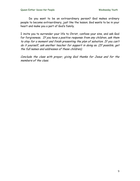Do you want to be an extraordinary person? God makes ordinary people to become extraordinary, just like the lesson. God wants to be in your heart and make you a part of God's family.

I invite you to surrender your life to Christ, confess your sins, and ask God for forgiveness. If you have a positive response from any children, ask them to stay for a moment and finish presenting the plan of salvation. If you can't do it yourself, ask another teacher for support in doing so. (If possible, get the full names and addresses of these children).

Conclude the class with prayer, giving God thanks for Jesus and for the members of the class.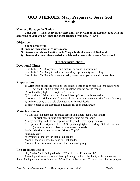# **GOD'S HEROES: Mary Prepares to Serve God Youth**

#### **Memory Passage for Today**

 **Luke 1:38 Then Mary said, "Here am I, the servant of the Lord; let it be with me according to your word." Then the angel departed from her. (NRSV)** 

#### **Objective**

 **Young people will:** 

- **1) imagine themselves in Mary's place,**
- **2) discuss what characteristics made Mary a faithful servant of God, and**
- **3) discover their own characteristics which make them able to serve God as well.**

## **Teacher instructions:**

#### **Devotional Time:**

Read Luke 1:26-38 to yourself and picture the scene in your mind. Read Luke 1:26- 38 again and reflect on Mary's personality and feelings. Read Luke 1:26- 38 a third time, and ask yourself what you would do in her place.

#### **Preparations:**

1) Write short people descriptions (see attached list) on each nametag (enough for one per youth) and put them in an envelope you can access easily;

- 2) Print and highlight the script for 3 readers;
- 3) for option a: Print characteristics and descriptions on tagboard strips for option b: Make needed # copies of phrases or put onto newsprint for whole group
- 4) make one copy of the role play situations for each leader
- 5) make copies of the discussion questions for each small group

## **Materials Needed**

\* Blank stick-on name tags to make description labels (need 1 per youth) (or print descriptions onto sticky paper and cut for labels)

\* Large envelope to hold description labels (need 1 envelope per class)

 \* 3 copies of the Scripture Luke 1:26-38, parts highlighted for Mary, Gabriel, Narrator. (have a set for each class or have extras on hand)

\*tagboard strips or newsprint for "Mary's Top 3"

\*masking tape

\*pen/pencil or marker for each group leader

\*copy of the role play situations for each leader

\*copies of the discussion questions for each small group

## **Lesson Introduction**

Play "Who Am I?" adapted to be: "What Kind of Person Am I?"

 As each youth enters, place a "description tag" on his or her back, without showing it to them. Each person tries to figure out "What Kind of Person Am I?" by asking other people yes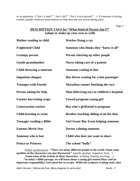or no questions. ("Am I a man?" "Am I old?" "Am I a nice person?"…) If someone is having trouble, people could use hand motions to help describe any action taking place.

Page 2

## **DESCRIPTION TAGS for "What Kind of Person Am I?" (adapt or make up your own as well)**

| Mother reading to child         | Worker fixing a car                          |
|---------------------------------|----------------------------------------------|
| <b>Frightened Child</b>         | Someone who thinks they "know it all"        |
| <b>Grumpy person</b>            | Person cheering up other people              |
| <b>Gentle grandmother</b>       | Nurse taking care of a patient               |
| Child throwing a tantrum        | <b>Someone waiting in line</b>               |
| <b>Impatient shopper</b>        | Bus driver waiting for a late passenger      |
| <b>Teenager with friends</b>    | <b>Marathon runner finishing the race</b>    |
| <b>Person asking for help</b>   | Man delivering toys to children's hospital   |
| <b>Farmer harvesting crops</b>  | Unwed pregnant young girl                    |
| <b>Construction worker</b>      | Boy who's girlfriend is pregnant             |
| <b>Child learning to swim</b>   | Brother teaching sibling to tie his shoe     |
| <b>Teenager reading a Bible</b> | <b>Girl Scout/ Boy Scout helping someone</b> |
| <b>Famous Movie Star</b>        | <b>Doctor calming someone</b>                |
| Someone who is lost             | Child who does not want to share             |
| <b>Prince or Princess</b>       | The school "bully"                           |

Follow up discussion: **"There are many different people in the world. Name some qualities of the characters you just discovered."** (gentle, grumpy, impatient, kind…) **Name some of the actions of those characters.** (reading, helping, teaching,…) **"In today's Bible passage, we will learn about a young girl named Mary and an important responsibility God asked her to accept. While the scripture is being read, close** 

God's Heroes / Héroes de Dios: Mary prepares to serve God Youth: 2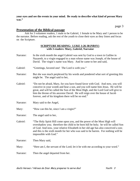**your eyes and see the events in your mind. Be ready to describe what kind of person Mary was."** 

page 3

#### **Presentation of the Biblical passage**

Ask for 3 volunteer readers, 1 male to be Gabriel, 1 female to be Mary and 1 person to be the narrator. Before reading, ask the rest of the youth to close their eyes as they listen and focus on the Scripture.

#### **SCRIPTURE READING: LUKE 1:26-38 (NRSV) with 3 readers: Mary, Gabriel, Narrator**

- Narrator: In the sixth month the angel Gabriel was sent by God to a town in Galilee in Nazareth, to a virgin engaged to a man whose name was Joseph, of the house of David. The virgin's name was Mary. And he came to her and said,
- Gabriel: "Greetings, favored one! The Lord is with you."
- Narrator: But she was much perplexed by his words and pondered what sort of greeting this might be. The angel said to her,
- Gabriel: "Do not be afraid, Mary, for you have found favor with God. And now, you will conceive in your womb and bear a son, and you will name him Jesus. He will be great, and will be called the Son of the Most High, and the Lord God will give to him the throne of his ancestor David. He will reign over the house of Jacob forever, and of his kingdom there will be no end."
- Narrator: Mary said to the Angel,
- Mary: "How can this be, since I am a virgin?"
- Narrator: The angel said to her,
- Gabriel: "The Holy Spirit Hill come upon you, and the power of the Most High will overshadow you; therefore the child to be born hill be holy; he will be called Son of God. And now, your relative Elizabeth in her old age has also conceived a son; and this is the sixth month for her who was said to be barren. For nothing will be impossible with God."
- Narrator: Then Mary said,
- Mary: "Here am I, the servant of the Lord; let it be with me according to your word."
- Narrator: Then the angel departed from her.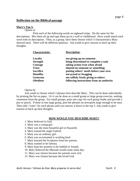#### **Reflection on the Biblical passage**

#### **Mary's Top 3:**

Option a)

 Print each of the following words on tagboard strips. Do the same for the descriptions. Mix them all up and tape them up on a wall or chalkboard. Have youth match each word with its description. Then, as a group, have them choose which 3 characteristics Mary showed most. There will be different opinions. Ask youth to give reasons to back up their thoughts.

| <b>Description:</b>                      |
|------------------------------------------|
| not giving up on someone                 |
| being determined to complete a task      |
| taking action even when afraid           |
| depend on someone or something           |
| putting others' needs before your own    |
| not proud or bragging                    |
| not selfish; freely giving to others     |
| following instructions from an authority |
|                                          |

Option b)

 Ask youth to choose which 3 phrases best describe Mary. This can be done individually by printing the list on paper. Or it can be done as a small group or large group exercise, seeking consensus from the group. For small groups, print one copy for each group leader and provide a pen or pencil. If done in one large group, post the phrases on newsprint large enough to be seen. Then tally "votes" for each phrase until you narrow it down to the top 3. Ask youth to give reasons to back up their thoughts.

#### **HOW WOULD YOU DESCRIBE MARY?**

- 1. Mary believed in God.
- 2. Mary was a young girl.
- 3. Mary was the most beautiful girl in Nazareth.
- 4. Mary trusted the angel Gabriel.
- 5. Mary was an ordinary girl.
- 6. Mary was accustomed to working hard.
- 7. Mary learned the Scriptures from her parents.
- 8. Mary wanted to be famous.
- 9. Mary kept her promise to be faithful to Joseph.
- 10. Mary believed the Messiah would come some day.
- 11. Mary was chosen because her parents were rich.
- 12. Mary was chosen because she loved God.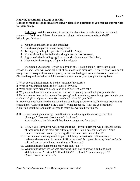#### **Applying the Biblical passage to our life**

#### **Choose as many role play situations and/or discussion questions as you feel are appropriate for your group.**

**Role Play:** Ask for volunteers to act out the characters in each situation. After each scene ask: "Could any of these characters be trying to deliver a message from God?" Why do you think so?

- 1. Mother asking her son to quit smoking;
- 2. Child asking a parent to stop doing crack;
- 3. Teenage boy telling his parents he joined the Army;
- 4. Young girl telling her father that she got married last weekend;
- 5. A group of friends telling a girl what she should do about "the baby";
- 6. New teacher breaking up a fight in the cafeteria

**Discussion Questions**: Divide into groups of 6-8 young people. Have each group choose a leader, who will come get a list of questions to be discussed. If time is short, you might assign one or two questions to each group, rather than having all groups discuss all questions. Choose the questions below which are most appropriate for your group's maturity level.

1. What do you think it means to be the "servant of the Lord"?

2. What do you think it means to be "favored" by God?

3. What might have prepared Mary to be able to answer God's call?

4. Why do you think God chose someone who was so young for such a big responsibility?

5. Have you ever been told you were "too young" to do something, even though you thought you could do it? (like helping a parent fix something) How did you feel?

6. Have you ever been asked to do something you thought you were absolutely not ready to do?

(cook dinner? Make a speech? Sing a solo?) What happened? How did you feel then?

7. How do you think God could use you to make this world a better place?

8. If God was sending a messenger to talk with you, what might the messenger be like? (An angel? Teacher? Scout leader? Rock star?)

How would you be able to tell that the messenger was from God?

- 9. Girls, if you learned you were pregnant, (boys if your girlfriend was pregnant), which of these would be the most difficult to deal with? –Your parents' reactions? Your friends' reactions? Your boyfriend/girlfriend's reaction? Your church?
- 10. How much of what happened do you think Mary understood? Is it necessary to understand every detail in order to fulfill a purpose? Is it possible to say "yes" to God's call, and yet not quite know how things will turn out?
- 11. What might have happened if Mary had said, "No."?
- 12. What might happen if God was depending upon you to answer a call, and you: a) didn't answer? b) said "call back later"? c) said, "I'm not ready yet."? d) said, "ask someone else"?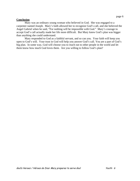#### **Conclusion**

 Mary was an ordinary young woman who believed in God. She was engaged to a carpenter named Joseph. Mary's faith allowed her to recognize God's call, and she believed the Angel Gabriel when he said, "For nothing will be impossible with God." Mary's courage to accept God's call actually made her life more difficult. But Mary knew God's plan was bigger than anything she could understand.

Mary responded to God as a faithful servant, and so can you. Your faith will keep you open to God's will. Your trust in God will help you answer God's call. You are a part of God's big plan. In some way, God will choose you to reach out to other people in the world and let them know how much God loves them. Are you willing to follow God's plan?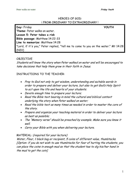## HEROES OF GOD: ¡ FROM ORDINARY TO EXTRAORDINARY !

**Day:** Friday **YOUTH Theme:** Peter walks on water. **Lesson 5: Peter takes a risk Bible passage:** Matthew 14:22-33 **Line to memorize:** Matthew 14:28 "Lord, if it's you," Peter replied, "tell me to come to you on the water." Mt 14:28 (NIV)

## OBJECTIVE

Students will know the story when Peter walked on water and will be encouraged to take decisions that help them grow in their faith in Jesus.

## INSTRUCTIONS TO THE TEACHER:

- Pray to God not only to get wisdom, understanding and suitable words in order to prepare and deliver your lecture, but also to get God's Holy Spirit to act upon the life and hearts of your students.
- Devote enough time to prepare your lecture;
- Read the Bible text bearing in mind the cultural and biblical context underlying the story when Peter walked on water;
- Read the bible text as many times as needed in order to master the core of the story.
- Prepare and organize your teaching material in order to deliver your lecture as best as possible;
- The "Memory verse" should be preached by example. Make sure you know it well.
- Carry your Bible with you when delivering your lecture.

## MATERIAL: (required for your lecture)

Water, Flour, 1 black bag or recipient, 5 coins of different value, thumbtacks. [Option: if you do not wish to use thumbtacks for fear of hurting the students, you can place the coins in enough mud so that the student has to dig his/her hand in the mud to get the coin]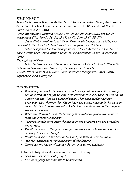## BIBLE CONTEXT

Jesus Christ was walking beside the Sea of Galilee and asked Simon, also known as Peter, to follow him. From there he became one of the 12 disciples of Christ (Matthew 4:18-20; 16:16).

Peter was impulsive (Matthew 16:22, 17:4, 26:33, 35; John 18:10) and full of weaknesses (Matthew 14:28, 30; 19:27, 26:40; John 18:17, 25, 27)

Jesus Christ predicted that Simon Peter would become the building rock upon which the church of Christ would be built (Matthew 16:17-19)

Peter disciplined himself through years of trials. After the Ascension of Christ, Peter wrote some letters, which show a difference on the character of Peter.

First epistle of Peter

Peter had become what Christ predicted: a rock for his church. This letter is likely to have been written during the last years of his life The epistle is addressed to God's elect, scattered throughout Pontus, Galatia, Cappadocia, Asia & Bithynia.

## INTRODUCTION

- Welcome your students. Then move on to carry out an icebreaker activity for your students to get to know each other better. Ask them to write down 3 activities they like on a piece of paper. Then each student will ask everybody else whether they like at least one activity named in the piece of paper. If they do then s/he will ask him/her to write down his/her name on the piece of paper.
- When the students finish this activity they will know people who have at least one interest in common.
- Teachers should write down the names of the students who are attending the lecture.
- Recall the name of the general subject of the week: "Heroes of God: From ordinary to extraordinary"
- Recall the names of the previous lessons you studied over the week.
- Ask for volunteers to tell a summary of the lessons
- Introduce the lesson of the day: Peter takes up the challenge.

Activity to help students memorize the line of the day.

- Split the class into small groups
- Give each group the bible verse to memorize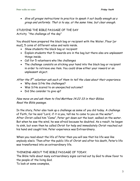• Give all groups instructions to practice to speak it out loudly enough as a group and uniformly. That is to say, at the same time, but clear enough.

STUDYING THE BIBLE PASSAGE OF THE DAY Activity "the challenge of the day"

You should have prepared the black bag or recipient with the Water, Flour [or mud], 5 coins of different value and nails inside.

- Show students the black bag or recipient
- Explain students that 5 rewards are in the bag but there also are unpleasant things inside.
- Call for 5 volunteers who like challenges
- The challenge consists on sticking your hand into the black bag or recipient in order to retrieve one item. You could draw either your reward or an unpleasant object.

After the  $5<sup>th</sup>$  volunteer ask each of them to tell the class about their experience.

- Why does S/He like challenges?
- Was S/He scared to an unexpected outcome?
- Did She consider to give up?

## Now move on and ask them to find Matthew 14:22-33 in their Bibles. Read the Bible passage.

In the story, Peter also took up a challenge as some of you did today. A challenge of Faith, for he said "Lord, if it is you, tell me to come to you on the water". After Christ called him "Come", Peter got down out the boat, walked on the water. But when he saw the wind, he was afraid because he doubted. As a result, he began to sink, but even then he called Christ for help and immediately Christ reached out his hand and caught him. Peter experience was Extraordinary.

When you read about the life of Peter then you will see that his life was like anybody else's. Then after the public life of Christ and after his death, Peter's life was transformed into an extraordinary life.

## THINKING ABOUT THE BIBLE PASSAGE OF TODAY.

The Bible tells about many extraordinary signs carried out by God to show favor to the people of the living God.

To look at some examples,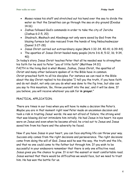- Moses raises his staff and stretched out his hand over the sea to divide the water so that the Israelites can go through the sea on dry ground (Exodus 14:16)
- Joshua followed God's commands in order to take the city of Jericho (Joshua 6:2-5, 20)
- Shadrach, Meshach and Abednego not only were saved by God from the blazing furnace but also rescued from the hands of king Nebuchadnezzar (Daniel 3:27-28)
- Jesus Christ carried out extraordinary signs (Mark 1:32-34, 40-41; 6:39-44)
- The apostles of Jesus Christ healed many people (Acts 3:6-8, 5:12, 16; 9:34, 40)

In today's story Jesus Christ teaches Peter that all he needed was to strengthen his faith for he said to Peter "you of little faith" (Matthew 14:31) FAITH in the living God is what Moses, Joshua, Jesus Christ, the apostles of Christ and many other believers spoken of in the Bible have in common. Christ preached faith to all his disciples. For instance we can read in the Bible about the day Christ replied to his disciples "I tell you the truth, if you have faith and do not doubt, not only can you do what was done to the fig tree, but also can you say to this mountain, 'Go, throw yourself into the sea', and it will be done. If you believe, you will receive whatever you ask for **in prayer**."

## PRACTICAL APPLICATION.

There are times in our lives when you will have to make a decision like Peter's. Maybe you are in that moment right now! Peter made an uncommon decision and took a risk in trusting Jesus' words. He was not afraid of failure; the strong wind that was blowing did not intimidate him initially. He had Jesus in his heart; his eyes were on Jesus and even when he became afraid, he cried out to Jesus and Jesus saved him from his fears and the adversity he faced.

Now if you have Jesus in your heart, you can face anything life can throw your way. Success only comes from the right decisions and perseverance. The right decisions come from doing the will of God. Jesus said he was the way, the truth and the life, and that no one could come to the father but through him. If you wish to be successful in your endeavors remember that there is only one effective road. Jesus gives you the chance to grow. It is not the easiest or most comfortable road. Jesus warned that there would be difficulties we would face, but we need to trust him. He has won the battle for us.